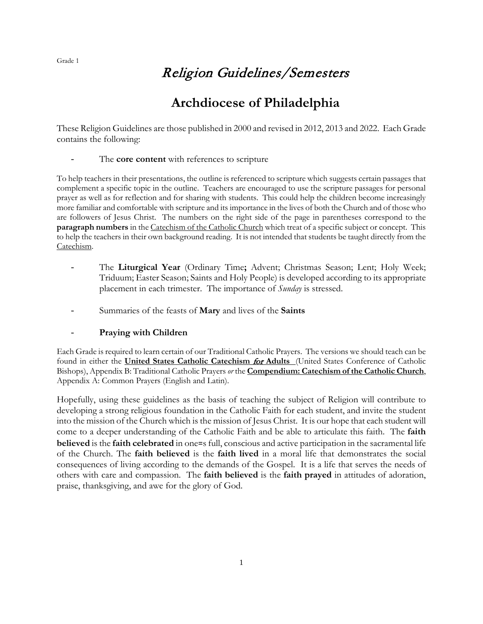## Religion Guidelines/Semesters

# **Archdiocese of Philadelphia**

These Religion Guidelines are those published in 2000 and revised in 2012, 2013 and 2022. Each Grade contains the following:

The **core content** with references to scripture

To help teachers in their presentations, the outline is referenced to scripture which suggests certain passages that complement a specific topic in the outline. Teachers are encouraged to use the scripture passages for personal prayer as well as for reflection and for sharing with students. This could help the children become increasingly more familiar and comfortable with scripture and its importance in the lives of both the Church and of those who are followers of Jesus Christ. The numbers on the right side of the page in parentheses correspond to the **paragraph numbers** in the Catechism of the Catholic Church which treat of a specific subject or concept. This to help the teachers in their own background reading. It is not intended that students be taught directly from the Catechism.

- The **Liturgical Year** (Ordinary Time**;** Advent; Christmas Season; Lent; Holy Week; Triduum; Easter Season; Saints and Holy People) is developed according to its appropriate placement in each trimester. The importance of *Sunday* is stressed.
- Summaries of the feasts of **Mary** and lives of the **Saints**

## - **Praying with Children**

Each Grade is required to learn certain of our Traditional Catholic Prayers. The versions we should teach can be found in either the **United States Catholic Catechism** for **Adults** (United States Conference of Catholic Bishops), Appendix B: Traditional Catholic Prayers *or* the **Compendium: Catechism of the Catholic Church**, Appendix A: Common Prayers (English and Latin).

Hopefully, using these guidelines as the basis of teaching the subject of Religion will contribute to developing a strong religious foundation in the Catholic Faith for each student, and invite the student into the mission of the Church which is the mission of Jesus Christ. It is our hope that each student will come to a deeper understanding of the Catholic Faith and be able to articulate this faith. The **faith believed** is the **faith celebrated** in one=s full, conscious and active participation in the sacramental life of the Church. The **faith believed** is the **faith lived** in a moral life that demonstrates the social consequences of living according to the demands of the Gospel. It is a life that serves the needs of others with care and compassion. The **faith believed** is the **faith prayed** in attitudes of adoration, praise, thanksgiving, and awe for the glory of God.

Grade 1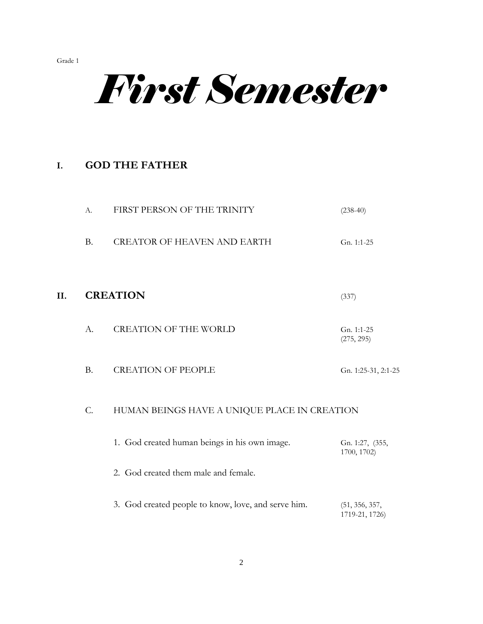*First Semester*

## **I. GOD THE FATHER**

|    | A.        | FIRST PERSON OF THE TRINITY                         | $(238-40)$                       |
|----|-----------|-----------------------------------------------------|----------------------------------|
|    | <b>B.</b> | <b>CREATOR OF HEAVEN AND EARTH</b>                  | Gn. 1:1-25                       |
| Η. |           | <b>CREATION</b>                                     | (337)                            |
|    | А.        | <b>CREATION OF THE WORLD</b>                        | Gn. 1:1-25<br>(275, 295)         |
|    | <b>B.</b> | <b>CREATION OF PEOPLE</b>                           | Gn. 1:25-31, 2:1-25              |
|    | $C$ .     | HUMAN BEINGS HAVE A UNIQUE PLACE IN CREATION        |                                  |
|    |           | 1. God created human beings in his own image.       | Gn. 1:27, (355,<br>1700, 1702)   |
|    |           | 2. God created them male and female.                |                                  |
|    |           | 3. God created people to know, love, and serve him. | (51, 356, 357,<br>1719-21, 1726) |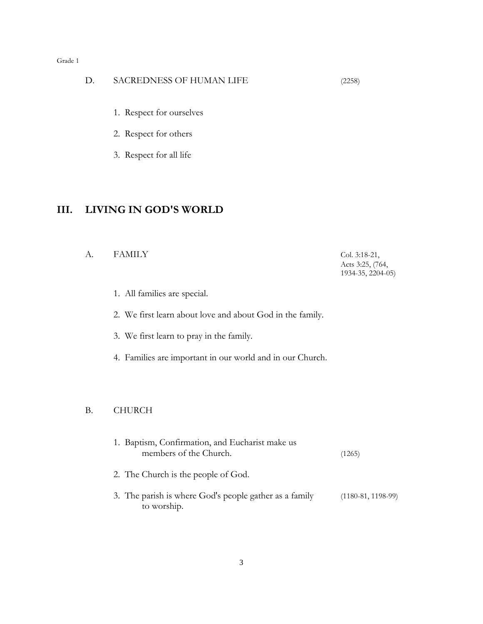#### D. SACREDNESS OF HUMAN LIFE (2258)

- 1. Respect for ourselves
- 2. Respect for others
- 3. Respect for all life

## **III. LIVING IN GOD'S WORLD**

#### A. FAMILY Col. 3:18-21,

Acts 3:25, (764, 1934-35, 2204-05)

1. All families are special.

2. We first learn about love and about God in the family.

- 3. We first learn to pray in the family.
- 4. Families are important in our world and in our Church.

#### B. CHURCH

| 1. Baptism, Confirmation, and Eucharist make us<br>members of the Church. | (1265)               |
|---------------------------------------------------------------------------|----------------------|
| 2. The Church is the people of God.                                       |                      |
| 3. The parish is where God's people gather as a family<br>to worship.     | $(1180-81, 1198-99)$ |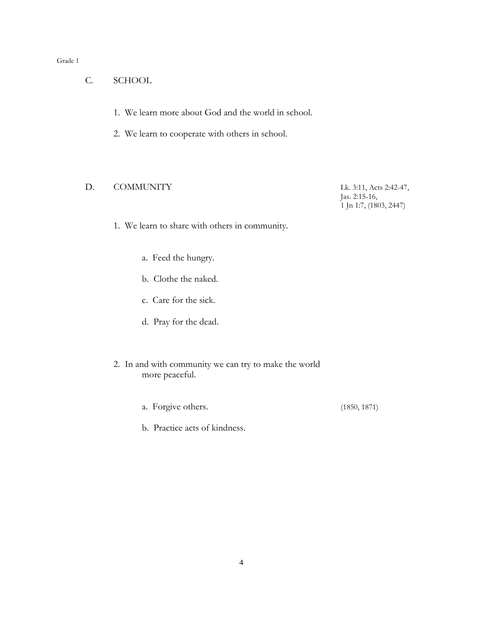- C. SCHOOL
	- 1. We learn more about God and the world in school.
	- 2. We learn to cooperate with others in school.

## D. COMMUNITY Lk. 3:11, Acts 2:42-47,

 Jas. 2:15-16, 1 Jn 1:7, (1803, 2447)

- 1. We learn to share with others in community.
	- a. Feed the hungry.
	- b. Clothe the naked.
	- c. Care for the sick.
	- d. Pray for the dead.
- 2. In and with community we can try to make the world more peaceful.
	- a. Forgive others. (1850, 1871)
	- b. Practice acts of kindness.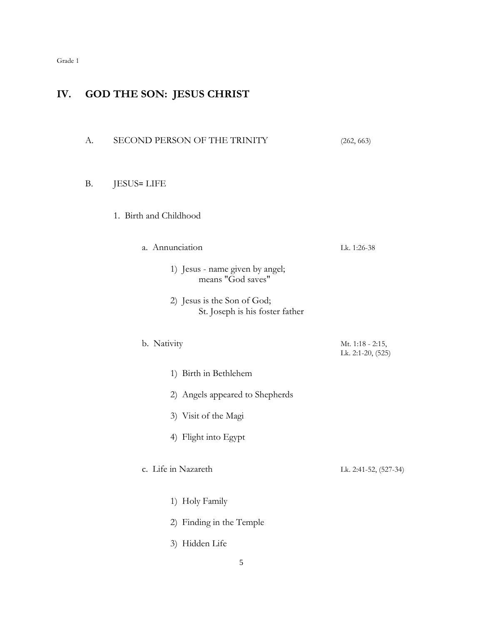## **IV. GOD THE SON: JESUS CHRIST**

| А.        | SECOND PERSON OF THE TRINITY                                   | (262, 663)                            |
|-----------|----------------------------------------------------------------|---------------------------------------|
| <b>B.</b> | <b>JESUS= LIFE</b>                                             |                                       |
|           | 1. Birth and Childhood                                         |                                       |
|           | a. Annunciation                                                | Lk. 1:26-38                           |
|           | 1) Jesus - name given by angel;<br>means "God saves"           |                                       |
|           | 2) Jesus is the Son of God;<br>St. Joseph is his foster father |                                       |
|           | b. Nativity                                                    | Mt. 1:18 - 2:15,<br>Lk. 2:1-20, (525) |
|           | 1) Birth in Bethlehem                                          |                                       |
|           | 2) Angels appeared to Shepherds                                |                                       |
|           | 3) Visit of the Magi                                           |                                       |
|           | 4) Flight into Egypt                                           |                                       |
|           | c. Life in Nazareth                                            | Lk. 2:41-52, (527-34)                 |
|           | 1) Holy Family                                                 |                                       |
|           | 2) Finding in the Temple                                       |                                       |
|           | 3) Hidden Life                                                 |                                       |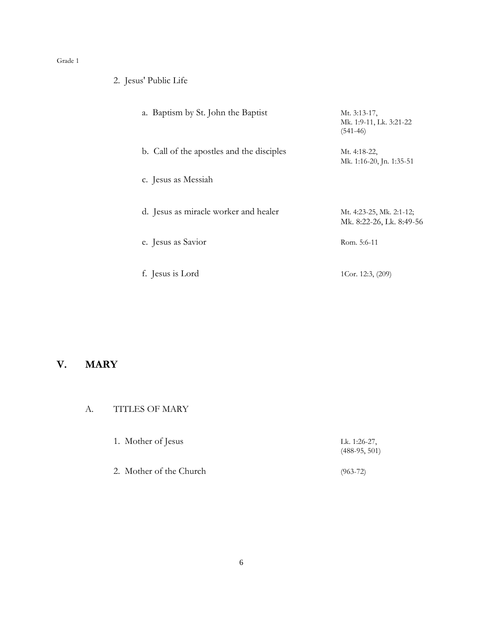2. Jesus' Public Life

| a. Baptism by St. John the Baptist        | Mt. 3:13-17,<br>Mk. 1:9-11, Lk. 3:21-22<br>$(541-46)$ |
|-------------------------------------------|-------------------------------------------------------|
| b. Call of the apostles and the disciples | Mt. 4:18-22,<br>Mk. 1:16-20, Jn. 1:35-51              |
| c. Jesus as Messiah                       |                                                       |
| d. Jesus as miracle worker and healer     | Mt. 4:23-25, Mk. 2:1-12;<br>Mk. 8:22-26, Lk. 8:49-56  |
| e. Jesus as Savior                        | Rom. 5:6-11                                           |
| f. Jesus is Lord                          | 1Cor. 12:3, (209)                                     |

## **V. MARY**

## A. TITLES OF MARY

| 1. Mother of Jesus | Lk. 1:26-27,    |
|--------------------|-----------------|
|                    | $(488-95, 501)$ |

2. Mother of the Church (963-72)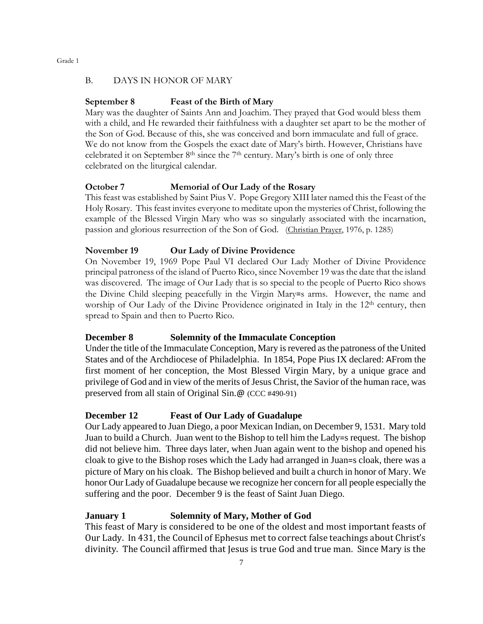#### B. DAYS IN HONOR OF MARY

#### **September 8 Feast of the Birth of Mary**

Mary was the daughter of Saints Ann and Joachim. They prayed that God would bless them with a child, and He rewarded their faithfulness with a daughter set apart to be the mother of the Son of God. Because of this, she was conceived and born immaculate and full of grace. We do not know from the Gospels the exact date of Mary's birth. However, Christians have celebrated it on September  $8<sup>th</sup>$  since the  $7<sup>th</sup>$  century. Mary's birth is one of only three celebrated on the liturgical calendar.

#### **October 7 Memorial of Our Lady of the Rosary**

This feast was established by Saint Pius V. Pope Gregory XIII later named this the Feast of the Holy Rosary. This feast invites everyone to meditate upon the mysteries of Christ, following the example of the Blessed Virgin Mary who was so singularly associated with the incarnation, passion and glorious resurrection of the Son of God. (Christian Prayer, 1976, p. 1285)

#### **November 19 Our Lady of Divine Providence**

On November 19, 1969 Pope Paul VI declared Our Lady Mother of Divine Providence principal patroness of the island of Puerto Rico, since November 19 was the date that the island was discovered. The image of Our Lady that is so special to the people of Puerto Rico shows the Divine Child sleeping peacefully in the Virgin Mary=s arms. However, the name and worship of Our Lady of the Divine Providence originated in Italy in the 12<sup>th</sup> century, then spread to Spain and then to Puerto Rico.

#### **December 8 Solemnity of the Immaculate Conception**

Under the title of the Immaculate Conception, Mary is revered as the patroness of the United States and of the Archdiocese of Philadelphia. In 1854, Pope Pius IX declared: AFrom the first moment of her conception, the Most Blessed Virgin Mary, by a unique grace and privilege of God and in view of the merits of Jesus Christ, the Savior of the human race, was preserved from all stain of Original Sin.@ (CCC #490-91)

#### **December 12 Feast of Our Lady of Guadalupe**

Our Lady appeared to Juan Diego, a poor Mexican Indian, on December 9, 1531. Mary told Juan to build a Church. Juan went to the Bishop to tell him the Lady=s request. The bishop did not believe him. Three days later, when Juan again went to the bishop and opened his cloak to give to the Bishop roses which the Lady had arranged in Juan=s cloak, there was a picture of Mary on his cloak. The Bishop believed and built a church in honor of Mary. We honor Our Lady of Guadalupe because we recognize her concern for all people especially the suffering and the poor. December 9 is the feast of Saint Juan Diego.

#### **January 1 Solemnity of Mary, Mother of God**

This feast of Mary is considered to be one of the oldest and most important feasts of Our Lady. In 431, the Council of Ephesus met to correct false teachings about Christ's divinity. The Council affirmed that Jesus is true God and true man. Since Mary is the

Grade 1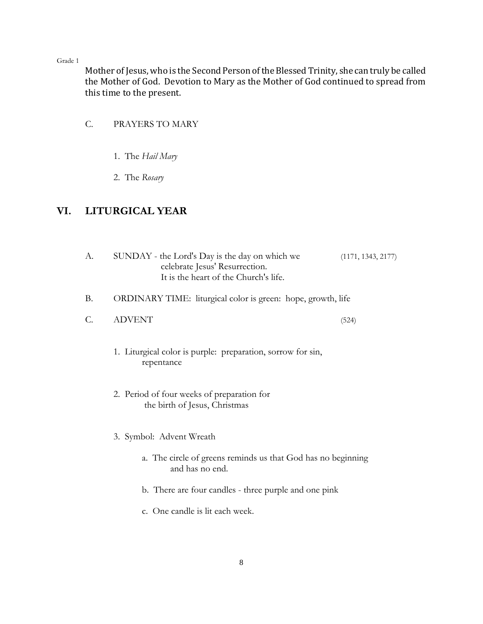Mother of Jesus, who is the Second Person of the Blessed Trinity, she can truly be called the Mother of God. Devotion to Mary as the Mother of God continued to spread from this time to the present.

## C. PRAYERS TO MARY

- 1. The *Hail Mary*
- 2. The *Rosary*

## **VI. LITURGICAL YEAR**

| А.        | SUNDAY - the Lord's Day is the day on which we<br>celebrate Jesus' Resurrection.<br>It is the heart of the Church's life. | (1171, 1343, 2177) |
|-----------|---------------------------------------------------------------------------------------------------------------------------|--------------------|
| <b>B.</b> | ORDINARY TIME: liturgical color is green: hope, growth, life                                                              |                    |
| C.        | <b>ADVENT</b>                                                                                                             | (524)              |
|           | 1. Liturgical color is purple: preparation, sorrow for sin,<br>repentance                                                 |                    |
|           | 2. Period of four weeks of preparation for<br>the birth of Jesus, Christmas                                               |                    |
|           | 3. Symbol: Advent Wreath                                                                                                  |                    |
|           | a. The circle of greens reminds us that God has no beginning<br>and has no end.                                           |                    |
|           | b. There are four candles - three purple and one pink                                                                     |                    |
|           | c. One candle is lit each week.                                                                                           |                    |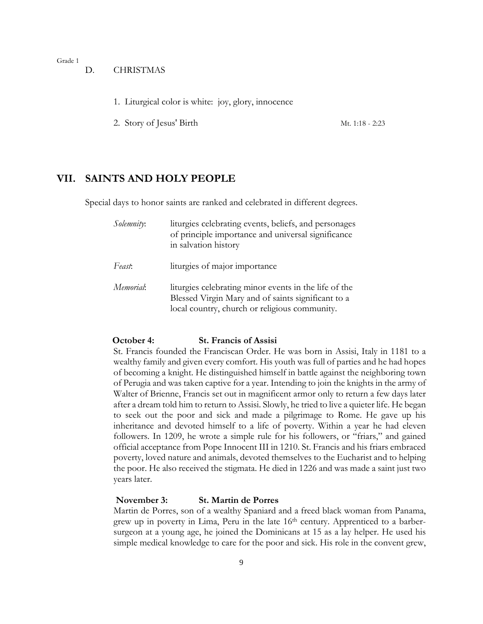- D. CHRISTMAS
	- 1. Liturgical color is white: joy, glory, innocence
	- 2. Story of Jesus' Birth Mt. 1:18 2:23

#### **VII. SAINTS AND HOLY PEOPLE**

Special days to honor saints are ranked and celebrated in different degrees.

| Solemnity: | liturgies celebrating events, beliefs, and personages<br>of principle importance and universal significance<br>in salvation history                          |
|------------|--------------------------------------------------------------------------------------------------------------------------------------------------------------|
| Feast:     | liturgies of major importance                                                                                                                                |
| Memorial:  | liturgies celebrating minor events in the life of the<br>Blessed Virgin Mary and of saints significant to a<br>local country, church or religious community. |

#### **October 4: St. Francis of Assisi**

St. Francis founded the Franciscan Order. He was born in Assisi, Italy in 1181 to a wealthy family and given every comfort. His youth was full of parties and he had hopes of becoming a knight. He distinguished himself in battle against the neighboring town of Perugia and was taken captive for a year. Intending to join the knights in the army of Walter of Brienne, Francis set out in magnificent armor only to return a few days later after a dream told him to return to Assisi. Slowly, he tried to live a quieter life. He began to seek out the poor and sick and made a pilgrimage to Rome. He gave up his inheritance and devoted himself to a life of poverty. Within a year he had eleven followers. In 1209, he wrote a simple rule for his followers, or "friars," and gained official acceptance from Pope Innocent III in 1210. St. Francis and his friars embraced poverty, loved nature and animals, devoted themselves to the Eucharist and to helping the poor. He also received the stigmata. He died in 1226 and was made a saint just two years later.

#### **November 3: St. Martin de Porres**

Martin de Porres, son of a wealthy Spaniard and a freed black woman from Panama, grew up in poverty in Lima, Peru in the late 16<sup>th</sup> century. Apprenticed to a barbersurgeon at a young age, he joined the Dominicans at 15 as a lay helper. He used his simple medical knowledge to care for the poor and sick. His role in the convent grew,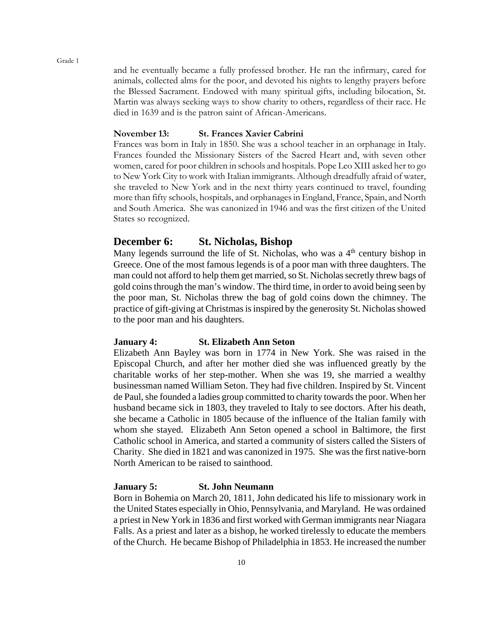and he eventually became a fully professed brother. He ran the infirmary, cared for animals, collected alms for the poor, and devoted his nights to lengthy prayers before the Blessed Sacrament. Endowed with many spiritual gifts, including bilocation, St. Martin was always seeking ways to show charity to others, regardless of their race. He died in 1639 and is the patron saint of African-Americans.

#### **November 13: St. Frances Xavier Cabrini**

Frances was born in Italy in 1850. She was a school teacher in an orphanage in Italy. Frances founded the Missionary Sisters of the Sacred Heart and, with seven other women, cared for poor children in schools and hospitals. Pope Leo XIII asked her to go to New York City to work with Italian immigrants. Although dreadfully afraid of water, she traveled to New York and in the next thirty years continued to travel, founding more than fifty schools, hospitals, and orphanages in England, France, Spain, and North and South America. She was canonized in 1946 and was the first citizen of the United States so recognized.

#### **December 6: St. Nicholas, Bishop**

Many legends surround the life of St. Nicholas, who was a  $4<sup>th</sup>$  century bishop in Greece. One of the most famous legends is of a poor man with three daughters. The man could not afford to help them get married, so St. Nicholas secretly threw bags of gold coins through the man's window. The third time, in order to avoid being seen by the poor man, St. Nicholas threw the bag of gold coins down the chimney. The practice of gift-giving at Christmas is inspired by the generosity St. Nicholas showed to the poor man and his daughters.

#### **January 4: St. Elizabeth Ann Seton**

Elizabeth Ann Bayley was born in 1774 in New York. She was raised in the Episcopal Church, and after her mother died she was influenced greatly by the charitable works of her step-mother. When she was 19, she married a wealthy businessman named William Seton. They had five children. Inspired by St. Vincent de Paul, she founded a ladies group committed to charity towards the poor. When her husband became sick in 1803, they traveled to Italy to see doctors. After his death, she became a Catholic in 1805 because of the influence of the Italian family with whom she stayed. Elizabeth Ann Seton opened a school in Baltimore, the first Catholic school in America, and started a community of sisters called the Sisters of Charity. She died in 1821 and was canonized in 1975. She was the first native-born North American to be raised to sainthood.

#### **January 5: St. John Neumann**

Born in Bohemia on March 20, 1811, John dedicated his life to missionary work in the United States especially in Ohio, Pennsylvania, and Maryland. He was ordained a priest in New York in 1836 and first worked with German immigrants near Niagara Falls. As a priest and later as a bishop, he worked tirelessly to educate the members of the Church. He became Bishop of Philadelphia in 1853. He increased the number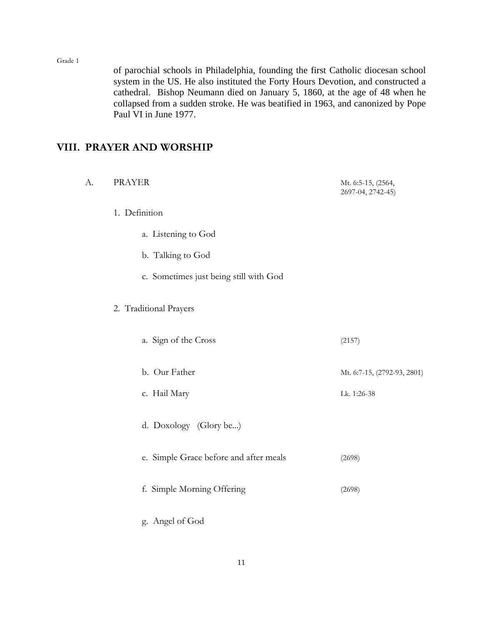of parochial schools in Philadelphia, founding the first Catholic diocesan school system in the US. He also instituted the Forty Hours Devotion, and constructed a cathedral. Bishop Neumann died on January 5, 1860, at the age of 48 when he collapsed from a sudden stroke. He was beatified in 1963, and canonized by Pope Paul VI in June 1977.

## **VIII. PRAYER AND WORSHIP**

| А. | <b>PRAYER</b>                          | Mt. 6:5-15, (2564,<br>2697-04, 2742-45) |
|----|----------------------------------------|-----------------------------------------|
|    | 1. Definition                          |                                         |
|    | a. Listening to God                    |                                         |
|    | b. Talking to God                      |                                         |
|    | c. Sometimes just being still with God |                                         |
|    | 2. Traditional Prayers                 |                                         |
|    | a. Sign of the Cross                   | (2157)                                  |
|    | b. Our Father                          | Mt. 6:7-15, (2792-93, 2801)             |
|    | c. Hail Mary                           | Lk. 1:26-38                             |
|    | d. Doxology (Glory be)                 |                                         |
|    | e. Simple Grace before and after meals | (2698)                                  |
|    | f. Simple Morning Offering             | (2698)                                  |
|    | g. Angel of God                        |                                         |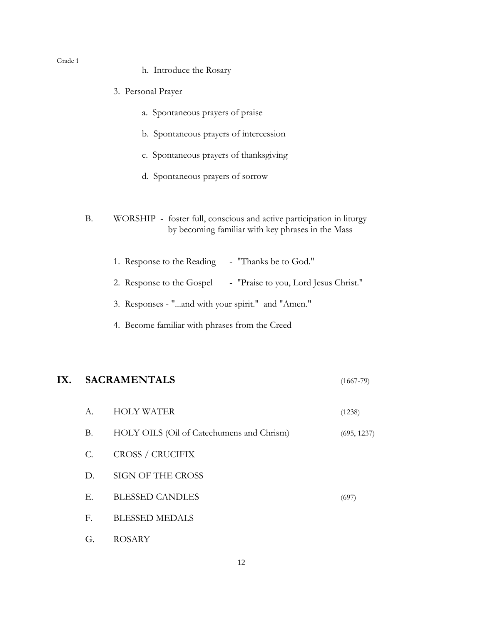h. Introduce the Rosary

|           | 3. Personal Prayer                                                                                                        |
|-----------|---------------------------------------------------------------------------------------------------------------------------|
|           | a. Spontaneous prayers of praise                                                                                          |
|           | b. Spontaneous prayers of intercession                                                                                    |
|           | c. Spontaneous prayers of thanksgiving                                                                                    |
|           | d. Spontaneous prayers of sorrow                                                                                          |
| <b>B.</b> | WORSHIP - foster full, conscious and active participation in liturgy<br>by becoming familiar with key phrases in the Mass |
|           | 1. Response to the Reading - "Thanks be to God."                                                                          |
|           | 2. Response to the Gospel - "Praise to you, Lord Jesus Christ."                                                           |
|           | 3. Responses - "and with your spirit." and "Amen."                                                                        |
|           | 4. Become familiar with phrases from the Creed                                                                            |
|           |                                                                                                                           |

## **IX. SACRAMENTALS** (1667-79)

| A.              | <b>HOLY WATER</b>                         | (1238)      |
|-----------------|-------------------------------------------|-------------|
| <b>B.</b>       | HOLY OILS (Oil of Catechumens and Chrism) | (695, 1237) |
| $\mathcal{C}$ . | CROSS / CRUCIFIX                          |             |
| D.              | SIGN OF THE CROSS                         |             |
| Е.              | <b>BLESSED CANDLES</b>                    | (697)       |
| F.              | <b>BLESSED MEDALS</b>                     |             |
| G.              | <b>ROSARY</b>                             |             |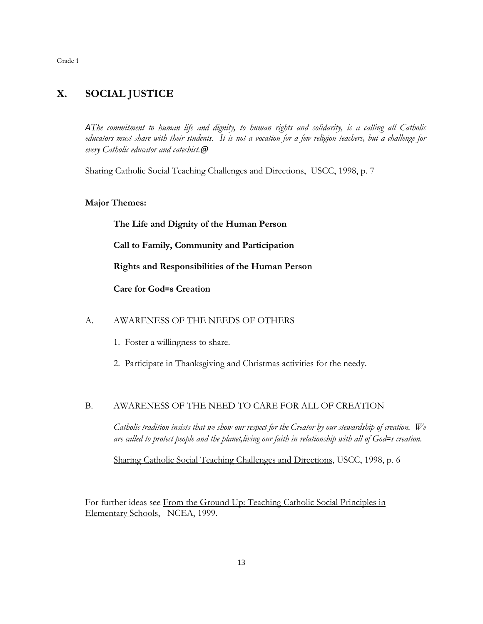## **X. SOCIAL JUSTICE**

*AThe commitment to human life and dignity, to human rights and solidarity, is a calling all Catholic educators must share with their students. It is not a vocation for a few religion teachers, but a challenge for every Catholic educator and catechist.@*

Sharing Catholic Social Teaching Challenges and Directions, USCC, 1998, p. 7

#### **Major Themes:**

**The Life and Dignity of the Human Person**

**Call to Family, Community and Participation**

**Rights and Responsibilities of the Human Person**

**Care for God=s Creation**

#### A. AWARENESS OF THE NEEDS OF OTHERS

- 1. Foster a willingness to share.
- 2. Participate in Thanksgiving and Christmas activities for the needy.

#### B. AWARENESS OF THE NEED TO CARE FOR ALL OF CREATION

*Catholic tradition insists that we show our respect for the Creator by our stewardship of creation. We are called to protect people and the planet,living our faith in relationship with all of God=s creation.*

Sharing Catholic Social Teaching Challenges and Directions, USCC, 1998, p. 6

For further ideas see From the Ground Up: Teaching Catholic Social Principles in Elementary Schools, NCEA, 1999.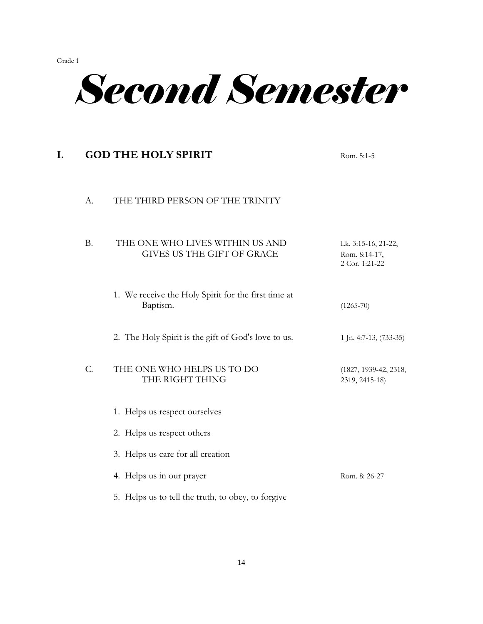

# **I. GOD THE HOLY SPIRIT** Rom. 5:1-5 A. THE THIRD PERSON OF THE TRINITY B. THE ONE WHO LIVES WITHIN US AND Lk. 3:15-16, 21-22, GIVES US THE GIFT OF GRACE Rom. 8:14-17, 2 Cor. 1:21-22 1. We receive the Holy Spirit for the first time at Baptism. (1265-70) 2. The Holy Spirit is the gift of God's love to us. 1 Jn. 4:7-13, (733-35) C. THE ONE WHO HELPS US TO DO (1827, 1939-42, 2318, THE RIGHT THING 2319, 2415-18) 1. Helps us respect ourselves 2. Helps us respect others 3. Helps us care for all creation 4. Helps us in our prayer Rom. 8: 26-27 5. Helps us to tell the truth, to obey, to forgive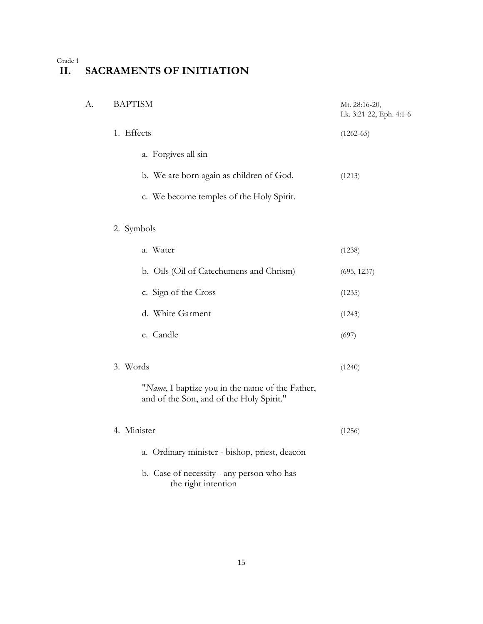## **II. SACRAMENTS OF INITIATION**

| А. | <b>BAPTISM</b>                                                                              | Mt. 28:16-20,<br>Lk. 3:21-22, Eph. 4:1-6 |
|----|---------------------------------------------------------------------------------------------|------------------------------------------|
|    | 1. Effects                                                                                  | $(1262-65)$                              |
|    | a. Forgives all sin                                                                         |                                          |
|    | b. We are born again as children of God.                                                    | (1213)                                   |
|    | c. We become temples of the Holy Spirit.                                                    |                                          |
|    | 2. Symbols                                                                                  |                                          |
|    | a. Water                                                                                    | (1238)                                   |
|    | b. Oils (Oil of Catechumens and Chrism)                                                     | (695, 1237)                              |
|    | c. Sign of the Cross                                                                        | (1235)                                   |
|    | d. White Garment                                                                            | (1243)                                   |
|    | e. Candle                                                                                   | (697)                                    |
|    | 3. Words                                                                                    | (1240)                                   |
|    | "Name, I baptize you in the name of the Father,<br>and of the Son, and of the Holy Spirit." |                                          |
|    | 4. Minister                                                                                 | (1256)                                   |
|    | a. Ordinary minister - bishop, priest, deacon                                               |                                          |
|    | b. Case of necessity - any person who has<br>the right intention                            |                                          |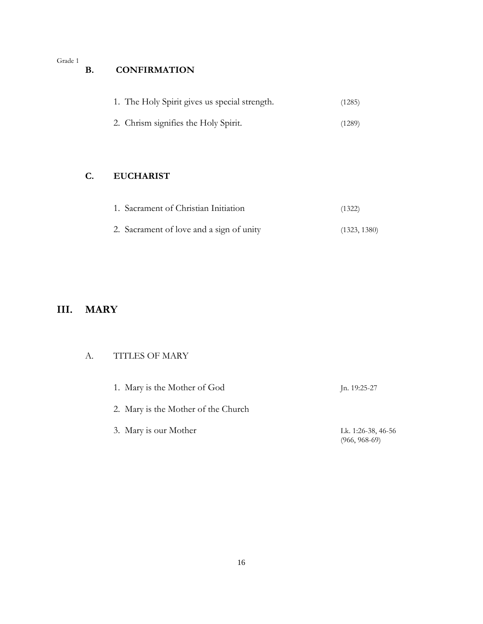## **B. CONFIRMATION**

| 1. The Holy Spirit gives us special strength. | (1285) |
|-----------------------------------------------|--------|
|                                               |        |

2. Chrism signifies the Holy Spirit. (1289)

## **C. EUCHARIST**

| 1. Sacrament of Christian Initiation     | (1322)       |
|------------------------------------------|--------------|
| 2. Sacrament of love and a sign of unity | (1323, 1380) |

## **III. MARY**

## A. TITLES OF MARY

| 1. Mary is the Mother of God        | Jn. $19:25-27$                        |
|-------------------------------------|---------------------------------------|
| 2. Mary is the Mother of the Church |                                       |
| 3. Mary is our Mother               | Lk. 1:26-38, 46-56<br>$(966, 968-69)$ |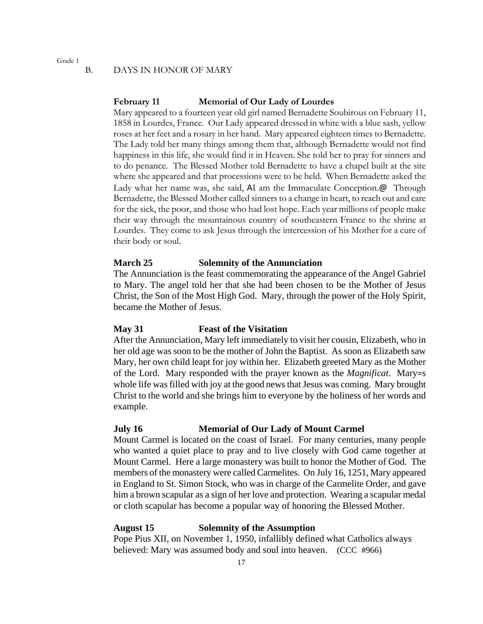#### B. DAYS IN HONOR OF MARY

#### **February 11 Memorial of Our Lady of Lourdes**

Mary appeared to a fourteen year old girl named Bernadette Soubirous on February 11, 1858 in Lourdes, France. Our Lady appeared dressed in white with a blue sash, yellow roses at her feet and a rosary in her hand. Mary appeared eighteen times to Bernadette. The Lady told her many things among them that, although Bernadette would not find happiness in this life, she would find it in Heaven. She told her to pray for sinners and to do penance. The Blessed Mother told Bernadette to have a chapel built at the site where she appeared and that processions were to be held. When Bernadette asked the Lady what her name was, she said, AI am the Immaculate Conception.@ Through Bernadette, the Blessed Mother called sinners to a change in heart, to reach out and care for the sick, the poor, and those who had lost hope. Each year millions of people make their way through the mountainous country of southeastern France to the shrine at Lourdes. They come to ask Jesus through the intercession of his Mother for a cure of their body or soul.

#### **March 25 Solemnity of the Annunciation**

The Annunciation is the feast commemorating the appearance of the Angel Gabriel to Mary. The angel told her that she had been chosen to be the Mother of Jesus Christ, the Son of the Most High God. Mary, through the power of the Holy Spirit, became the Mother of Jesus.

#### **May 31 Feast of the Visitation**

After the Annunciation, Mary left immediately to visit her cousin, Elizabeth, who in her old age was soon to be the mother of John the Baptist. As soon as Elizabeth saw Mary, her own child leapt for joy within her. Elizabeth greeted Mary as the Mother of the Lord. Mary responded with the prayer known as the *Magnificat*. Mary=s whole life was filled with joy at the good news that Jesus was coming. Mary brought Christ to the world and she brings him to everyone by the holiness of her words and example.

#### **July 16 Memorial of Our Lady of Mount Carmel**

Mount Carmel is located on the coast of Israel. For many centuries, many people who wanted a quiet place to pray and to live closely with God came together at Mount Carmel. Here a large monastery was built to honor the Mother of God. The members of the monastery were called Carmelites. On July 16, 1251, Mary appeared in England to St. Simon Stock, who was in charge of the Carmelite Order, and gave him a brown scapular as a sign of her love and protection. Wearing a scapular medal or cloth scapular has become a popular way of honoring the Blessed Mother.

#### **August 15 Solemnity of the Assumption**

Pope Pius XII, on November 1, 1950, infallibly defined what Catholics always believed: Mary was assumed body and soul into heaven. (CCC #966)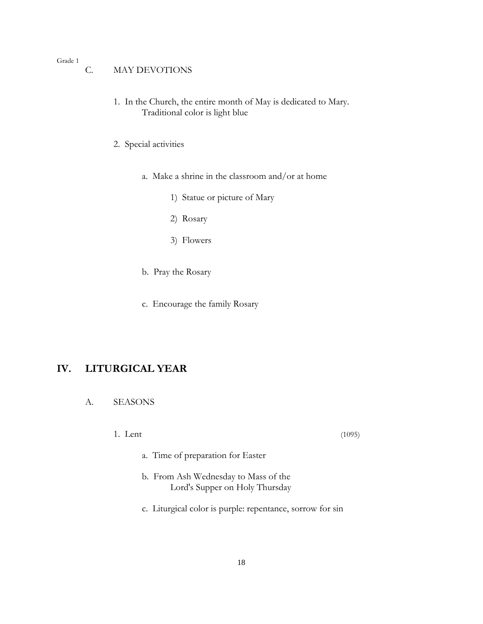- C. MAY DEVOTIONS
	- 1. In the Church, the entire month of May is dedicated to Mary. Traditional color is light blue
	- 2. Special activities
		- a. Make a shrine in the classroom and/or at home
			- 1) Statue or picture of Mary
			- 2) Rosary
			- 3) Flowers
		- b. Pray the Rosary
		- c. Encourage the family Rosary

## **IV. LITURGICAL YEAR**

- A. SEASONS
	- 1. Lent (1095)

- a. Time of preparation for Easter
- b. From Ash Wednesday to Mass of the Lord's Supper on Holy Thursday
- c. Liturgical color is purple: repentance, sorrow for sin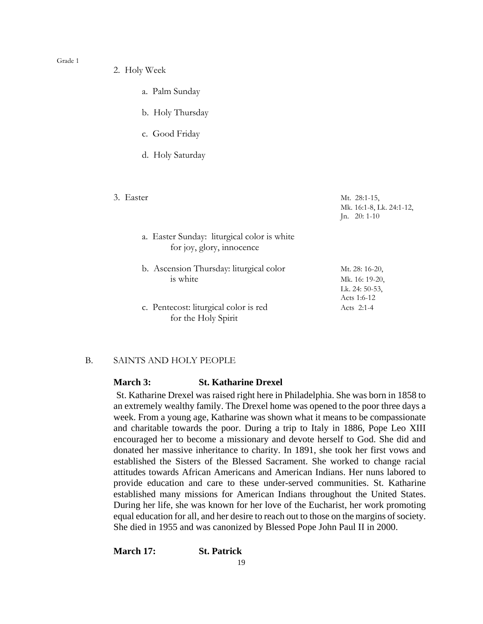- 2. Holy Week
	- a. Palm Sunday
	- b. Holy Thursday
	- c. Good Friday
	- d. Holy Saturday
- 

3. Easter Mt. 28:1-15, Mk. 16:1-8, Lk. 24:1-12, Jn. 20: 1-10

- a. Easter Sunday: liturgical color is white for joy, glory, innocence
- b. Ascension Thursday: liturgical color Mt. 28: 16-20,  $i$ s white Mk. 16: 19-20,
- c. Pentecost: liturgical color is red Acts 2:1-4 for the Holy Spirit

# Lk. 24: 50-53, Acts 1:6-12

#### B. SAINTS AND HOLY PEOPLE

#### **March 3: St. Katharine Drexel**

St. Katharine Drexel was raised right here in Philadelphia. She was born in 1858 to an extremely wealthy family. The Drexel home was opened to the poor three days a week. From a young age, Katharine was shown what it means to be compassionate and charitable towards the poor. During a trip to Italy in 1886, Pope Leo XIII encouraged her to become a missionary and devote herself to God. She did and donated her massive inheritance to charity. In 1891, she took her first vows and established the Sisters of the Blessed Sacrament. She worked to change racial attitudes towards African Americans and American Indians. Her nuns labored to provide education and care to these under-served communities. St. Katharine established many missions for American Indians throughout the United States. During her life, she was known for her love of the Eucharist, her work promoting equal education for all, and her desire to reach out to those on the margins of society. She died in 1955 and was canonized by Blessed Pope John Paul II in 2000.

**March 17: St. Patrick**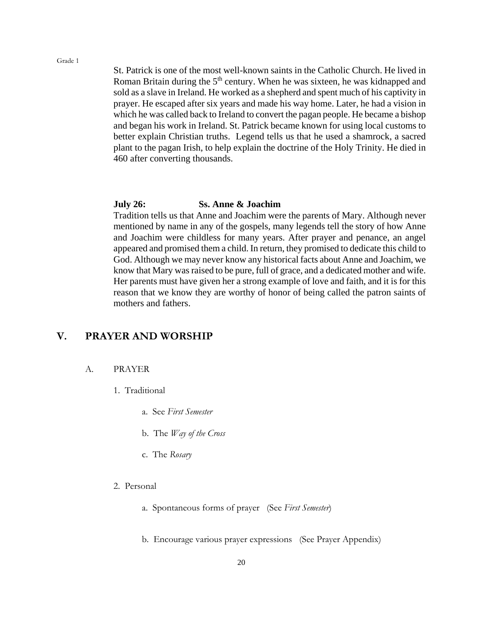St. Patrick is one of the most well-known saints in the Catholic Church. He lived in Roman Britain during the 5<sup>th</sup> century. When he was sixteen, he was kidnapped and sold as a slave in Ireland. He worked as a shepherd and spent much of his captivity in prayer. He escaped after six years and made his way home. Later, he had a vision in which he was called back to Ireland to convert the pagan people. He became a bishop and began his work in Ireland. St. Patrick became known for using local customs to better explain Christian truths. Legend tells us that he used a shamrock, a sacred plant to the pagan Irish, to help explain the doctrine of the Holy Trinity. He died in 460 after converting thousands.

#### **July 26: Ss. Anne & Joachim**

Tradition tells us that Anne and Joachim were the parents of Mary. Although never mentioned by name in any of the gospels, many legends tell the story of how Anne and Joachim were childless for many years. After prayer and penance, an angel appeared and promised them a child. In return, they promised to dedicate this child to God. Although we may never know any historical facts about Anne and Joachim, we know that Mary was raised to be pure, full of grace, and a dedicated mother and wife. Her parents must have given her a strong example of love and faith, and it is for this reason that we know they are worthy of honor of being called the patron saints of mothers and fathers.

## **V. PRAYER AND WORSHIP**

#### A. PRAYER

- 1. Traditional
	- a. See *First Semester*
	- b. The *Way of the Cross*
	- c. The *Rosary*
- 2. Personal
	- a. Spontaneous forms of prayer (See *First Semester*)
	- b. Encourage various prayer expressions (See Prayer Appendix)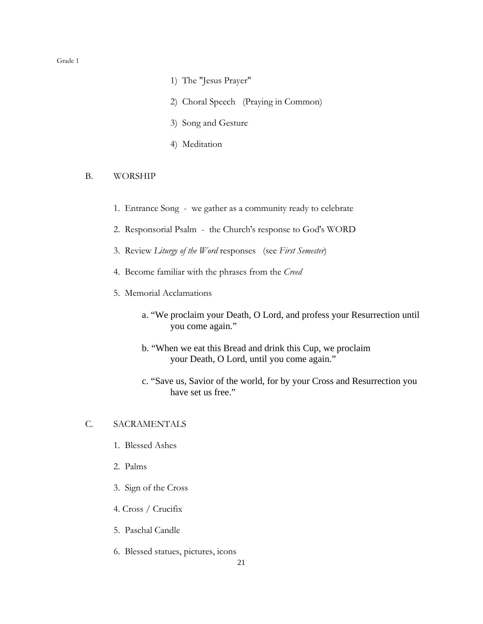- 1) The "Jesus Prayer"
- 2) Choral Speech (Praying in Common)
- 3) Song and Gesture
- 4) Meditation

#### B. WORSHIP

- 1. Entrance Song we gather as a community ready to celebrate
- 2. Responsorial Psalm the Church's response to God's WORD
- 3. Review *Liturgy of the Word* responses (see *First Semester*)
- 4. Become familiar with the phrases from the *Creed*
- 5. Memorial Acclamations
	- a. "We proclaim your Death, O Lord, and profess your Resurrection until you come again."
	- b. "When we eat this Bread and drink this Cup, we proclaim your Death, O Lord, until you come again."
	- c. "Save us, Savior of the world, for by your Cross and Resurrection you have set us free."

#### C. SACRAMENTALS

- 1. Blessed Ashes
- 2. Palms
- 3. Sign of the Cross
- 4. Cross / Crucifix
- 5. Paschal Candle
- 6. Blessed statues, pictures, icons